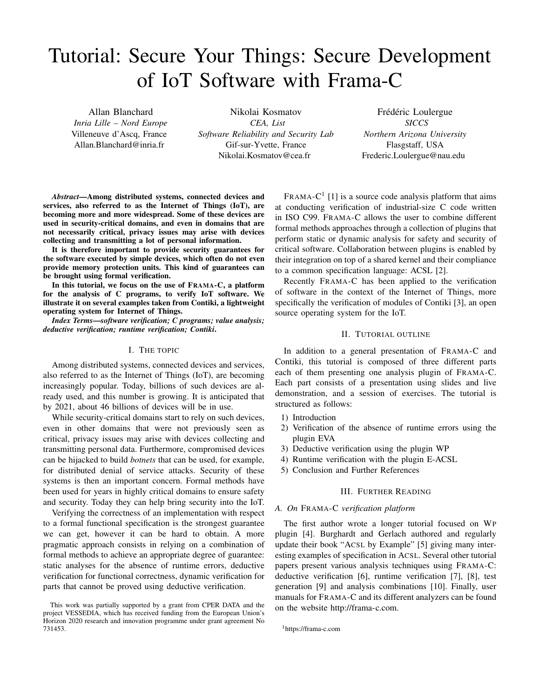# Tutorial: Secure Your Things: Secure Development of IoT Software with Frama-C

Allan Blanchard *Inria Lille – Nord Europe* Villeneuve d'Ascq, France Allan.Blanchard@inria.fr

Nikolai Kosmatov *CEA, List Software Reliability and Security Lab* Gif-sur-Yvette, France Nikolai.Kosmatov@cea.fr

Frédéric Loulergue *SICCS Northern Arizona University* Flasgstaff, USA Frederic.Loulergue@nau.edu

*Abstract*—Among distributed systems, connected devices and services, also referred to as the Internet of Things (IoT), are becoming more and more widespread. Some of these devices are used in security-critical domains, and even in domains that are not necessarily critical, privacy issues may arise with devices collecting and transmitting a lot of personal information.

It is therefore important to provide security guarantees for the software executed by simple devices, which often do not even provide memory protection units. This kind of guarantees can be brought using formal verification.

In this tutorial, we focus on the use of FRAMA-C, a platform for the analysis of C programs, to verify IoT software. We illustrate it on several examples taken from Contiki, a lightweight operating system for Internet of Things.

*Index Terms*—*software verification; C programs; value analysis; deductive verification; runtime verification; Contiki*.

### I. THE TOPIC

Among distributed systems, connected devices and services, also referred to as the Internet of Things (IoT), are becoming increasingly popular. Today, billions of such devices are already used, and this number is growing. It is anticipated that by 2021, about 46 billions of devices will be in use.

While security-critical domains start to rely on such devices, even in other domains that were not previously seen as critical, privacy issues may arise with devices collecting and transmitting personal data. Furthermore, compromised devices can be hijacked to build *botnets* that can be used, for example, for distributed denial of service attacks. Security of these systems is then an important concern. Formal methods have been used for years in highly critical domains to ensure safety and security. Today they can help bring security into the IoT.

Verifying the correctness of an implementation with respect to a formal functional specification is the strongest guarantee we can get, however it can be hard to obtain. A more pragmatic approach consists in relying on a combination of formal methods to achieve an appropriate degree of guarantee: static analyses for the absence of runtime errors, deductive verification for functional correctness, dynamic verification for parts that cannot be proved using deductive verification.

FRAMA- $C<sup>1</sup>$  [1] is a source code analysis platform that aims at conducting verification of industrial-size C code written in ISO C99. FRAMA-C allows the user to combine different formal methods approaches through a collection of plugins that perform static or dynamic analysis for safety and security of critical software. Collaboration between plugins is enabled by their integration on top of a shared kernel and their compliance to a common specification language: ACSL [2].

Recently FRAMA-C has been applied to the verification of software in the context of the Internet of Things, more specifically the verification of modules of Contiki [3], an open source operating system for the IoT.

#### II. TUTORIAL OUTLINE

In addition to a general presentation of FRAMA-C and Contiki, this tutorial is composed of three different parts each of them presenting one analysis plugin of FRAMA-C. Each part consists of a presentation using slides and live demonstration, and a session of exercises. The tutorial is structured as follows:

- 1) Introduction
- 2) Verification of the absence of runtime errors using the plugin EVA
- 3) Deductive verification using the plugin WP
- 4) Runtime verification with the plugin E-ACSL
- 5) Conclusion and Further References

#### III. FURTHER READING

## *A. On* FRAMA-C *verification platform*

The first author wrote a longer tutorial focused on WP plugin [4]. Burghardt and Gerlach authored and regularly update their book "ACSL by Example" [5] giving many interesting examples of specification in ACSL. Several other tutorial papers present various analysis techniques using FRAMA-C: deductive verification [6], runtime verification [7], [8], test generation [9] and analysis combinations [10]. Finally, user manuals for FRAMA-C and its different analyzers can be found on the website http://frama-c.com.

This work was partially supported by a grant from CPER DATA and the project VESSEDIA, which has received funding from the European Union's Horizon 2020 research and innovation programme under grant agreement No 731453.

<sup>1</sup>https://frama-c.com